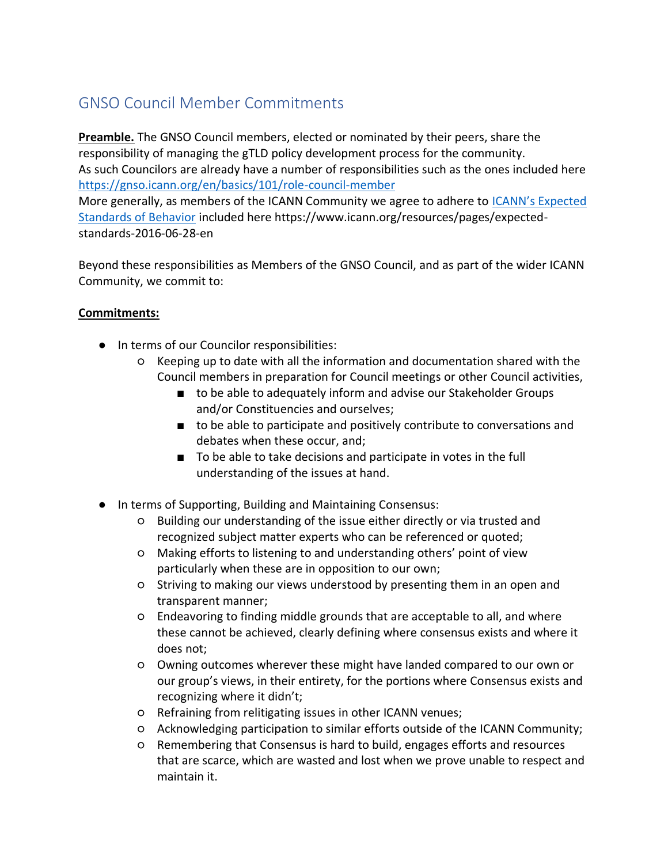## GNSO Council Member Commitments

**Preamble.** The GNSO Council members, elected or nominated by their peers, share the responsibility of managing the gTLD policy development process for the community. As such Councilors are already have a number of responsibilities such as the ones included here <https://gnso.icann.org/en/basics/101/role-council-member> More generally, as members of the ICANN Community we agree to adhere to [ICANN's Expected](https://www.icann.org/resources/pages/expected-standards-2016-06-28-en)  [Standards of Behavior](https://www.icann.org/resources/pages/expected-standards-2016-06-28-en) included here https://www.icann.org/resources/pages/expectedstandards-2016-06-28-en

Beyond these responsibilities as Members of the GNSO Council, and as part of the wider ICANN Community, we commit to:

## **Commitments:**

- In terms of our Councilor responsibilities:
	- Keeping up to date with all the information and documentation shared with the Council members in preparation for Council meetings or other Council activities,
		- to be able to adequately inform and advise our Stakeholder Groups and/or Constituencies and ourselves;
		- to be able to participate and positively contribute to conversations and debates when these occur, and;
		- To be able to take decisions and participate in votes in the full understanding of the issues at hand.
- In terms of Supporting, Building and Maintaining Consensus:
	- Building our understanding of the issue either directly or via trusted and recognized subject matter experts who can be referenced or quoted;
	- Making efforts to listening to and understanding others' point of view particularly when these are in opposition to our own;
	- Striving to making our views understood by presenting them in an open and transparent manner;
	- Endeavoring to finding middle grounds that are acceptable to all, and where these cannot be achieved, clearly defining where consensus exists and where it does not;
	- Owning outcomes wherever these might have landed compared to our own or our group's views, in their entirety, for the portions where Consensus exists and recognizing where it didn't;
	- Refraining from relitigating issues in other ICANN venues;
	- Acknowledging participation to similar efforts outside of the ICANN Community;
	- Remembering that Consensus is hard to build, engages efforts and resources that are scarce, which are wasted and lost when we prove unable to respect and maintain it.